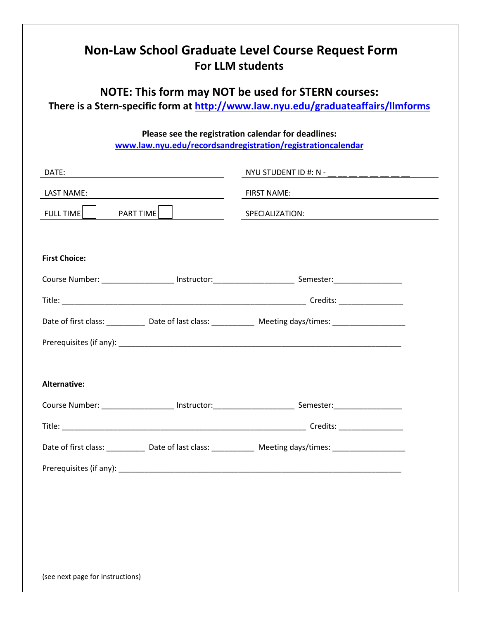| <b>Non-Law School Graduate Level Course Request Form</b><br><b>For LLM students</b>                                                            |  |                                                                                                                |
|------------------------------------------------------------------------------------------------------------------------------------------------|--|----------------------------------------------------------------------------------------------------------------|
| <b>NOTE: This form may NOT be used for STERN courses:</b><br>There is a Stern-specific form at http://www.law.nyu.edu/graduateaffairs/llmforms |  |                                                                                                                |
| Please see the registration calendar for deadlines:<br>www.law.nyu.edu/recordsandregistration/registrationcalendar                             |  |                                                                                                                |
| DATE:<br><u> 1989 - Johann Barn, fransk politik (</u>                                                                                          |  | NYU STUDENT ID #: N - ______________                                                                           |
| LAST NAME:                                                                                                                                     |  | <b>FIRST NAME:</b>                                                                                             |
| FULL TIME    <br>PART TIME                                                                                                                     |  | SPECIALIZATION:                                                                                                |
|                                                                                                                                                |  |                                                                                                                |
| <b>First Choice:</b>                                                                                                                           |  |                                                                                                                |
|                                                                                                                                                |  |                                                                                                                |
|                                                                                                                                                |  |                                                                                                                |
|                                                                                                                                                |  | Date of first class: _____________ Date of last class: ______________ Meeting days/times: ____________________ |
|                                                                                                                                                |  |                                                                                                                |
|                                                                                                                                                |  |                                                                                                                |
| <b>Alternative:</b>                                                                                                                            |  |                                                                                                                |
|                                                                                                                                                |  |                                                                                                                |
|                                                                                                                                                |  | Credits: ___________________                                                                                   |
|                                                                                                                                                |  | Date of first class: ____________ Date of last class: _____________ Meeting days/times: _____________________  |
|                                                                                                                                                |  |                                                                                                                |
|                                                                                                                                                |  |                                                                                                                |
|                                                                                                                                                |  |                                                                                                                |
|                                                                                                                                                |  |                                                                                                                |
|                                                                                                                                                |  |                                                                                                                |
| (see next page for instructions)                                                                                                               |  |                                                                                                                |